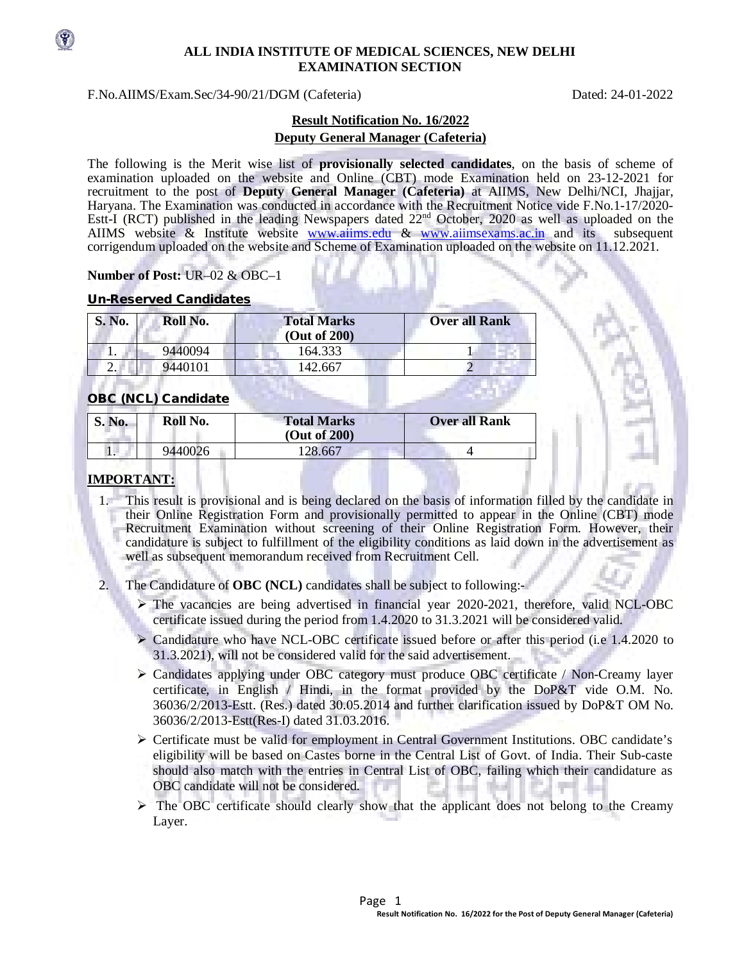

#### **ALL INDIA INSTITUTE OF MEDICAL SCIENCES, NEW DELHI EXAMINATION SECTION**

F.No.AIIMS/Exam.Sec/34-90/21/DGM (Cafeteria) Dated: 24-01-2022

# **Result Notification No. 16/2022 Deputy General Manager (Cafeteria)**

The following is the Merit wise list of **provisionally selected candidates**, on the basis of scheme of examination uploaded on the website and Online (CBT) mode Examination held on 23-12-2021 for recruitment to the post of **Deputy General Manager (Cafeteria)** at AIIMS, New Delhi/NCI, Jhajjar, Haryana. The Examination was conducted in accordance with the Recruitment Notice vide F.No.1-17/2020- Estt-I (RCT) published in the leading Newspapers dated 22<sup>nd</sup> October, 2020 as well as uploaded on the AIIMS website & Institute website [www.aiims.edu](http://www.aiims.edu/) & [www.aiimsexams.ac.in](http://www.aiimsexams.ac.in/) and its subsequent corrigendum uploaded on the website and Scheme of Examination uploaded on the website on 11.12.2021.

## **Number of Post:** UR–02 & OBC–1

#### Un-Reserved Candidates

| <b>S. No.</b> | Roll No. | <b>Total Marks</b><br>(Out of 200) | <b>Over all Rank</b> |
|---------------|----------|------------------------------------|----------------------|
|               | 9440094  | 164.333                            |                      |
| ۷.            | 9440101  | 142.667                            |                      |

### OBC (NCL) Candidate

| S. No. | Roll No. | <b>Total Marks</b><br>(Out of 200) | <b>Over all Rank</b> |
|--------|----------|------------------------------------|----------------------|
|        | 9440026  | 128.667                            |                      |

# **IMPORTANT:**

- 1. This result is provisional and is being declared on the basis of information filled by the candidate in their Online Registration Form and provisionally permitted to appear in the Online (CBT) mode Recruitment Examination without screening of their Online Registration Form. However, their candidature is subject to fulfillment of the eligibility conditions as laid down in the advertisement as well as subsequent memorandum received from Recruitment Cell.
- 2. The Candidature of **OBC (NCL)** candidates shall be subject to following:-
	- The vacancies are being advertised in financial year 2020-2021, therefore, valid NCL-OBC certificate issued during the period from 1.4.2020 to 31.3.2021 will be considered valid.
	- $\triangleright$  Candidature who have NCL-OBC certificate issued before or after this period (i.e 1.4.2020 to 31.3.2021), will not be considered valid for the said advertisement.
	- Candidates applying under OBC category must produce OBC certificate / Non-Creamy layer certificate, in English / Hindi, in the format provided by the DoP&T vide O.M. No. 36036/2/2013-Estt. (Res.) dated 30.05.2014 and further clarification issued by DoP&T OM No. 36036/2/2013-Estt(Res-I) dated 31.03.2016.
	- Certificate must be valid for employment in Central Government Institutions. OBC candidate's eligibility will be based on Castes borne in the Central List of Govt. of India. Their Sub-caste should also match with the entries in Central List of OBC, failing which their candidature as OBC candidate will not be considered.
	- $\triangleright$  The OBC certificate should clearly show that the applicant does not belong to the Creamy Layer.